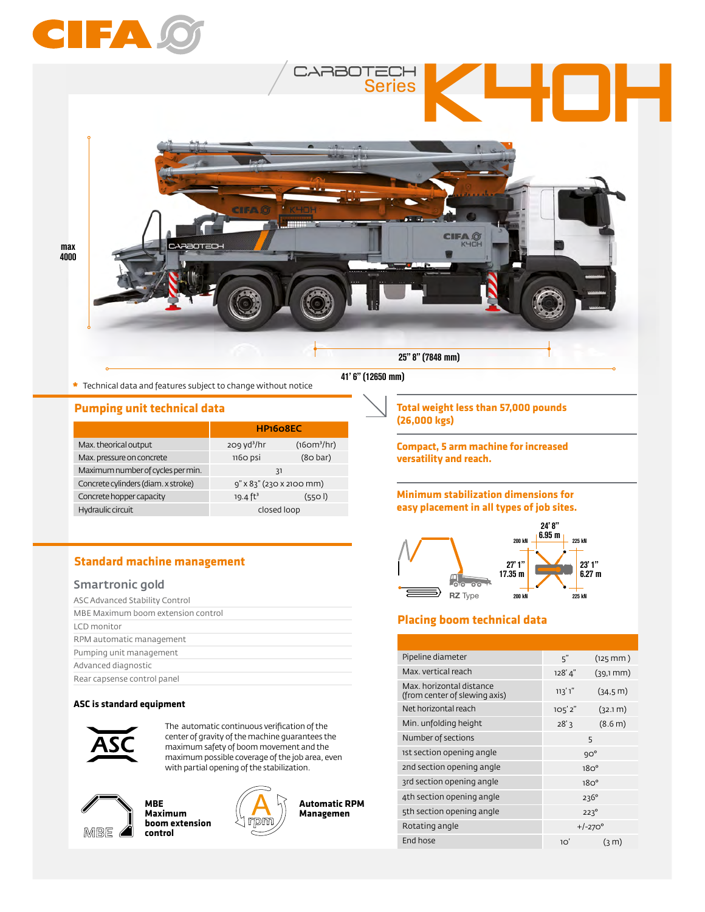



**\*** Technical data and features subject to change without notice

#### **Pumping unit technical data**

|                                     | HP <sub>160</sub> 8EC    |                                     |
|-------------------------------------|--------------------------|-------------------------------------|
| Max. theorical output               | $209 \text{ yd}^3$ /hr   | (16 <sub>om</sub> <sup>3</sup> /hr) |
| Max. pressure on concrete           | 1160 psi                 | (80 bar)                            |
| Maximum number of cycles per min.   | -31                      |                                     |
| Concrete cylinders (diam. x stroke) | 9" x 83" (230 x 2100 mm) |                                     |
| Concrete hopper capacity            | 19.4 $ft^3$              | (5501)                              |
| Hydraulic circuit                   | closed loop              |                                     |

### **Standard machine management**

### Smartronic gold

| ASC Advanced Stability Control     |
|------------------------------------|
| MBE Maximum boom extension control |
| LCD monitor                        |
| RPM automatic management           |
| Pumping unit management            |
| Advanced diagnostic                |
| Rear capsense control panel        |

#### **ASC is standard equipment**



The automatic continuous verification of the center of gravity of the machine guarantees the maximum safety of boom movement and the maximum possible coverage of the job area, even with partial opening of the stabilization.



**MBE Maximum boom extension control**



**Automatic RPM Managemen**

41' 6" (12650 mm)

**Total weight less than 57,000 pounds (26,000 kgs)**

**Compact, 5 arm machine for increased versatility and reach.**

#### **Minimum stabilization dimensions for easy placement in all types of job sites.**



### **Placing boom technical data**

| Pipeline diameter                                         | 5"               | $(125$ mm)        |
|-----------------------------------------------------------|------------------|-------------------|
| Max, vertical reach                                       | 128'4"           | $(39,1)$ mm)      |
| Max. horizontal distance<br>(from center of slewing axis) | ו'ר 'רו          | (34.5 m)          |
| Net horizontal reach                                      | 105'2''          | (32.1 m)          |
| Min. unfolding height                                     | 28'3             | (8.6 m)           |
| Number of sections                                        | 5                |                   |
| 1st section opening angle                                 | $9O^{\circ}$     |                   |
| 2nd section opening angle                                 | 18O <sup>o</sup> |                   |
| 3rd section opening angle                                 | 18O <sup>o</sup> |                   |
| 4th section opening angle                                 |                  | $236^\circ$       |
| 5th section opening angle                                 | $223^\circ$      |                   |
| Rotating angle                                            | $+/-270^{\circ}$ |                   |
| End hose                                                  | 10'              | (3 <sub>m</sub> ) |